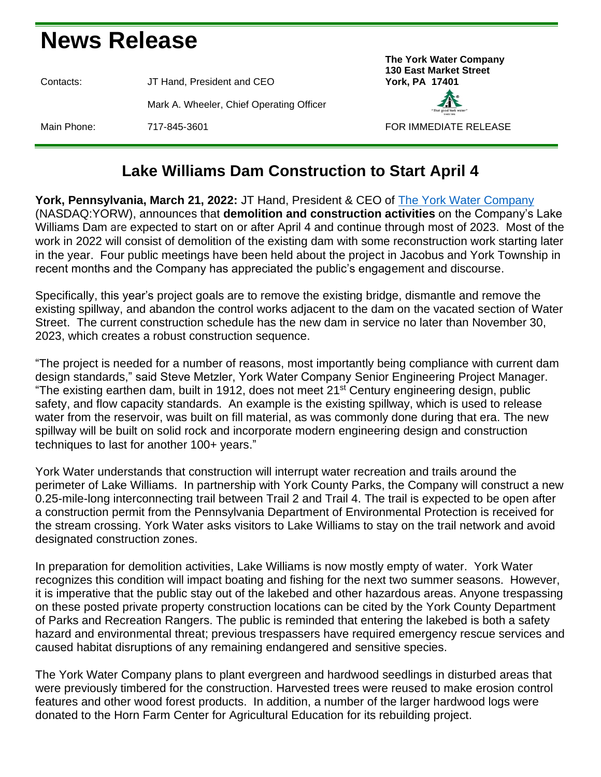## **News Release**

Contacts: JT Hand, President and CEO **York, PA 17401** Mark A. Wheeler, Chief Operating Officer Main Phone: 717-845-3601 FOR IMMEDIATE RELEASE





## **Lake Williams Dam Construction to Start April 4**

**York, Pennsylvania, March 21, 2022:** JT Hand, President & CEO of [The York Water Company](https://www.yorkwater.com/) (NASDAQ:YORW), announces that **demolition and construction activities** on the Company's Lake Williams Dam are expected to start on or after April 4 and continue through most of 2023. Most of the work in 2022 will consist of demolition of the existing dam with some reconstruction work starting later in the year. Four public meetings have been held about the project in Jacobus and York Township in recent months and the Company has appreciated the public's engagement and discourse.

Specifically, this year's project goals are to remove the existing bridge, dismantle and remove the existing spillway, and abandon the control works adjacent to the dam on the vacated section of Water Street. The current construction schedule has the new dam in service no later than November 30, 2023, which creates a robust construction sequence.

"The project is needed for a number of reasons, most importantly being compliance with current dam design standards," said Steve Metzler, York Water Company Senior Engineering Project Manager. "The existing earthen dam, built in 1912, does not meet 21<sup>st</sup> Century engineering design, public safety, and flow capacity standards. An example is the existing spillway, which is used to release water from the reservoir, was built on fill material, as was commonly done during that era. The new spillway will be built on solid rock and incorporate modern engineering design and construction techniques to last for another 100+ years."

York Water understands that construction will interrupt water recreation and trails around the perimeter of Lake Williams. In partnership with York County Parks, the Company will construct a new 0.25-mile-long interconnecting trail between Trail 2 and Trail 4. The trail is expected to be open after a construction permit from the Pennsylvania Department of Environmental Protection is received for the stream crossing. York Water asks visitors to Lake Williams to stay on the trail network and avoid designated construction zones.

In preparation for demolition activities, Lake Williams is now mostly empty of water. York Water recognizes this condition will impact boating and fishing for the next two summer seasons. However, it is imperative that the public stay out of the lakebed and other hazardous areas. Anyone trespassing on these posted private property construction locations can be cited by the York County Department of Parks and Recreation Rangers. The public is reminded that entering the lakebed is both a safety hazard and environmental threat; previous trespassers have required emergency rescue services and caused habitat disruptions of any remaining endangered and sensitive species.

The York Water Company plans to plant evergreen and hardwood seedlings in disturbed areas that were previously timbered for the construction. Harvested trees were reused to make erosion control features and other wood forest products. In addition, a number of the larger hardwood logs were donated to the Horn Farm Center for Agricultural Education for its rebuilding project.